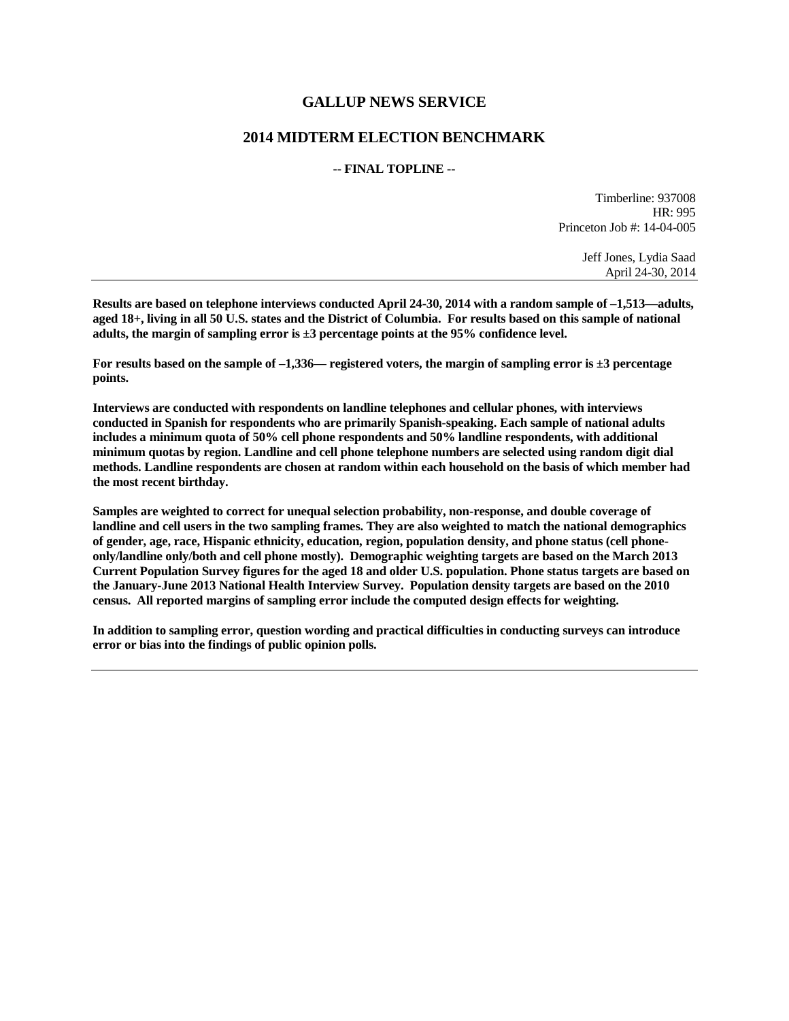## **GALLUP NEWS SERVICE**

## **2014 MIDTERM ELECTION BENCHMARK**

## **-- FINAL TOPLINE --**

Timberline: 937008 HR: 995 Princeton Job #: 14-04-005

> Jeff Jones, Lydia Saad April 24-30, 2014

**Results are based on telephone interviews conducted April 24-30, 2014 with a random sample of –1,513—adults, aged 18+, living in all 50 U.S. states and the District of Columbia. For results based on this sample of national adults, the margin of sampling error is ±3 percentage points at the 95% confidence level.** 

**For results based on the sample of –1,336— registered voters, the margin of sampling error is ±3 percentage points.**

**Interviews are conducted with respondents on landline telephones and cellular phones, with interviews conducted in Spanish for respondents who are primarily Spanish-speaking. Each sample of national adults includes a minimum quota of 50% cell phone respondents and 50% landline respondents, with additional minimum quotas by region. Landline and cell phone telephone numbers are selected using random digit dial methods. Landline respondents are chosen at random within each household on the basis of which member had the most recent birthday.**

**Samples are weighted to correct for unequal selection probability, non-response, and double coverage of landline and cell users in the two sampling frames. They are also weighted to match the national demographics of gender, age, race, Hispanic ethnicity, education, region, population density, and phone status (cell phoneonly/landline only/both and cell phone mostly). Demographic weighting targets are based on the March 2013 Current Population Survey figures for the aged 18 and older U.S. population. Phone status targets are based on the January-June 2013 National Health Interview Survey. Population density targets are based on the 2010 census. All reported margins of sampling error include the computed design effects for weighting.** 

**In addition to sampling error, question wording and practical difficulties in conducting surveys can introduce error or bias into the findings of public opinion polls.**